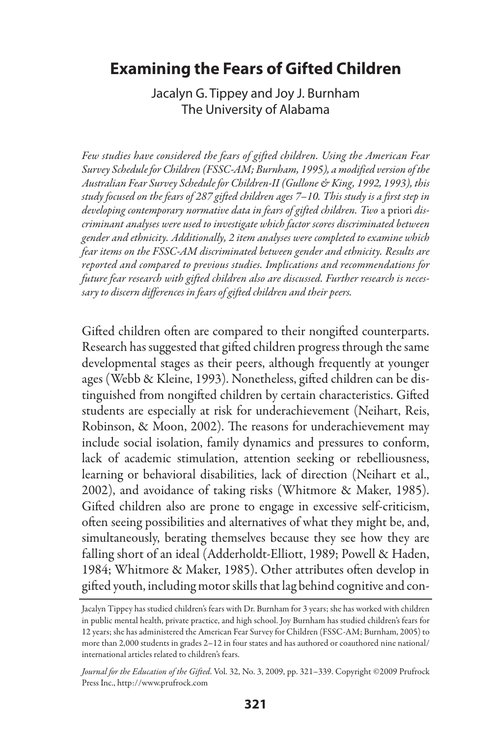# **Examining the Fears of Gifted Children**

Jacalyn G. Tippey and Joy J. Burnham The University of Alabama

*Few studies have considered the fears of gifted children. Using the American Fear Survey Schedule for Children (FSSC-AM; Burnham, 1995), a modified version of the Australian Fear Survey Schedule for Children-II (Gullone & King, 1992, 1993), this study focused on the fears of 287 gifted children ages 7–10. This study is a first step in developing contemporary normative data in fears of gifted children. Two* a priori *discriminant analyses were used to investigate which factor scores discriminated between gender and ethnicity. Additionally, 2 item analyses were completed to examine which fear items on the FSSC-AM discriminated between gender and ethnicity. Results are reported and compared to previous studies. Implications and recommendations for future fear research with gifted children also are discussed. Further research is necessary to discern differences in fears of gifted children and their peers.*

Gifted children often are compared to their nongifted counterparts. Research has suggested that gifted children progress through the same developmental stages as their peers, although frequently at younger ages (Webb & Kleine, 1993). Nonetheless, gifted children can be distinguished from nongifted children by certain characteristics. Gifted students are especially at risk for underachievement (Neihart, Reis, Robinson, & Moon, 2002). The reasons for underachievement may include social isolation, family dynamics and pressures to conform, lack of academic stimulation, attention seeking or rebelliousness, learning or behavioral disabilities, lack of direction (Neihart et al., 2002), and avoidance of taking risks (Whitmore & Maker, 1985). Gifted children also are prone to engage in excessive self-criticism, often seeing possibilities and alternatives of what they might be, and, simultaneously, berating themselves because they see how they are falling short of an ideal (Adderholdt-Elliott, 1989; Powell & Haden, 1984; Whitmore & Maker, 1985). Other attributes often develop in gifted youth, including motor skills that lag behind cognitive and con-

Jacalyn Tippey has studied children's fears with Dr. Burnham for 3 years; she has worked with children in public mental health, private practice, and high school. Joy Burnham has studied children's fears for 12 years; she has administered the American Fear Survey for Children (FSSC-AM; Burnham, 2005) to more than 2,000 students in grades 2–12 in four states and has authored or coauthored nine national/ international articles related to children's fears.

*Journal for the Education of the Gifted*. Vol. 32, No. 3, 2009, pp. 321–339. Copyright ©2009 Prufrock Press Inc., http://www.prufrock.com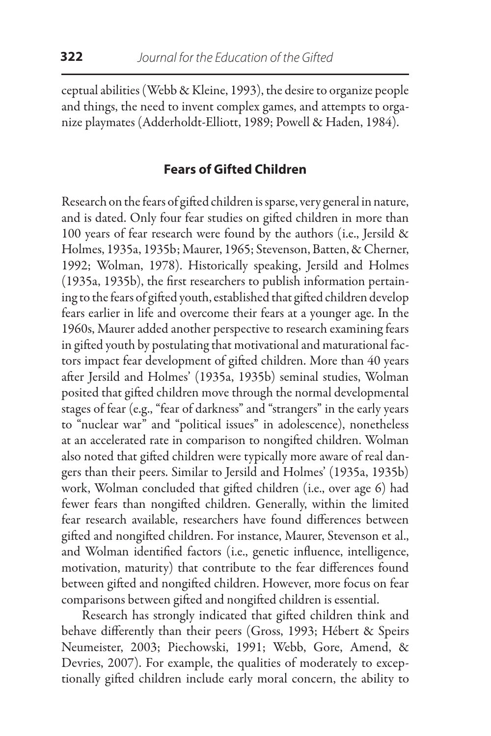ceptual abilities (Webb & Kleine, 1993), the desire to organize people and things, the need to invent complex games, and attempts to organize playmates (Adderholdt-Elliott, 1989; Powell & Haden, 1984).

## **Fears of Gifted Children**

Research on the fears of gifted children is sparse, very general in nature, and is dated. Only four fear studies on gifted children in more than 100 years of fear research were found by the authors (i.e., Jersild & Holmes, 1935a, 1935b; Maurer, 1965; Stevenson, Batten, & Cherner, 1992; Wolman, 1978). Historically speaking, Jersild and Holmes (1935a, 1935b), the first researchers to publish information pertaining to the fears of gifted youth, established that gifted children develop fears earlier in life and overcome their fears at a younger age. In the 1960s, Maurer added another perspective to research examining fears in gifted youth by postulating that motivational and maturational factors impact fear development of gifted children. More than 40 years after Jersild and Holmes' (1935a, 1935b) seminal studies, Wolman posited that gifted children move through the normal developmental stages of fear (e.g., "fear of darkness" and "strangers" in the early years to "nuclear war" and "political issues" in adolescence), nonetheless at an accelerated rate in comparison to nongifted children. Wolman also noted that gifted children were typically more aware of real dangers than their peers. Similar to Jersild and Holmes' (1935a, 1935b) work, Wolman concluded that gifted children (i.e., over age 6) had fewer fears than nongifted children. Generally, within the limited fear research available, researchers have found differences between gifted and nongifted children. For instance, Maurer, Stevenson et al., and Wolman identified factors (i.e., genetic influence, intelligence, motivation, maturity) that contribute to the fear differences found between gifted and nongifted children. However, more focus on fear comparisons between gifted and nongifted children is essential.

Research has strongly indicated that gifted children think and behave differently than their peers (Gross, 1993; Hébert & Speirs Neumeister, 2003; Piechowski, 1991; Webb, Gore, Amend, & Devries, 2007). For example, the qualities of moderately to exceptionally gifted children include early moral concern, the ability to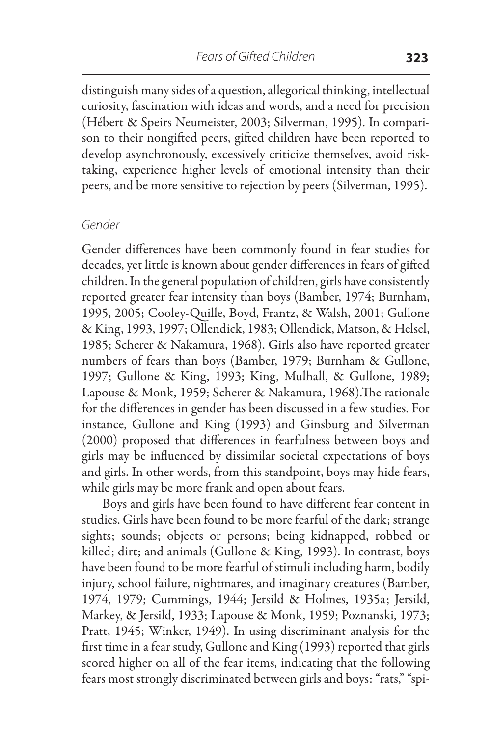distinguish many sides of a question, allegorical thinking, intellectual curiosity, fascination with ideas and words, and a need for precision (Hébert & Speirs Neumeister, 2003; Silverman, 1995). In comparison to their nongifted peers, gifted children have been reported to develop asynchronously, excessively criticize themselves, avoid risktaking, experience higher levels of emotional intensity than their peers, and be more sensitive to rejection by peers (Silverman, 1995).

#### *Gender*

Gender differences have been commonly found in fear studies for decades, yet little is known about gender differences in fears of gifted children. In the general population of children, girls have consistently reported greater fear intensity than boys (Bamber, 1974; Burnham, 1995, 2005; Cooley-Quille, Boyd, Frantz, & Walsh, 2001; Gullone & King, 1993, 1997; Ollendick, 1983; Ollendick, Matson, & Helsel, 1985; Scherer & Nakamura, 1968). Girls also have reported greater numbers of fears than boys (Bamber, 1979; Burnham & Gullone, 1997; Gullone & King, 1993; King, Mulhall, & Gullone, 1989; Lapouse & Monk, 1959; Scherer & Nakamura, 1968).The rationale for the differences in gender has been discussed in a few studies. For instance, Gullone and King (1993) and Ginsburg and Silverman (2000) proposed that differences in fearfulness between boys and girls may be influenced by dissimilar societal expectations of boys and girls. In other words, from this standpoint, boys may hide fears, while girls may be more frank and open about fears.

Boys and girls have been found to have different fear content in studies. Girls have been found to be more fearful of the dark; strange sights; sounds; objects or persons; being kidnapped, robbed or killed; dirt; and animals (Gullone & King, 1993). In contrast, boys have been found to be more fearful of stimuli including harm, bodily injury, school failure, nightmares, and imaginary creatures (Bamber, 1974, 1979; Cummings, 1944; Jersild & Holmes, 1935a; Jersild, Markey, & Jersild, 1933; Lapouse & Monk, 1959; Poznanski, 1973; Pratt, 1945; Winker, 1949). In using discriminant analysis for the first time in a fear study, Gullone and King (1993) reported that girls scored higher on all of the fear items, indicating that the following fears most strongly discriminated between girls and boys: "rats," "spi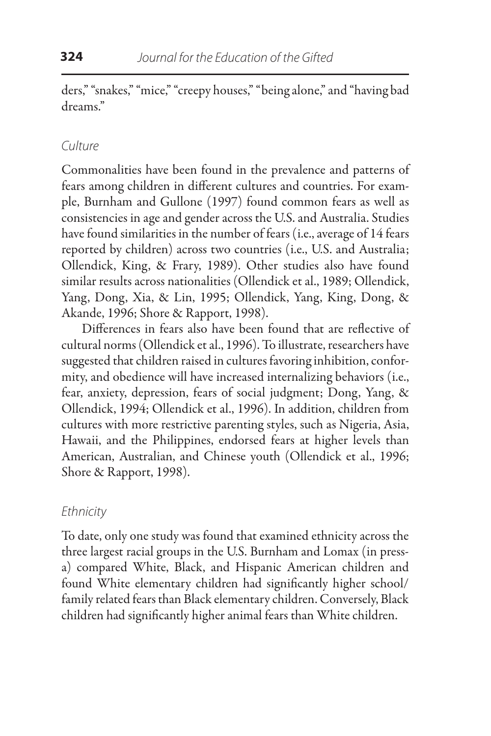ders," "snakes," "mice," "creepy houses," "being alone," and "having bad dreams."

## *Culture*

Commonalities have been found in the prevalence and patterns of fears among children in different cultures and countries. For example, Burnham and Gullone (1997) found common fears as well as consistencies in age and gender across the U.S. and Australia. Studies have found similarities in the number of fears (i.e., average of 14 fears reported by children) across two countries (i.e., U.S. and Australia; Ollendick, King, & Frary, 1989). Other studies also have found similar results across nationalities (Ollendick et al., 1989; Ollendick, Yang, Dong, Xia, & Lin, 1995; Ollendick, Yang, King, Dong, & Akande, 1996; Shore & Rapport, 1998).

Differences in fears also have been found that are reflective of cultural norms (Ollendick et al., 1996). To illustrate, researchers have suggested that children raised in cultures favoring inhibition, conformity, and obedience will have increased internalizing behaviors (i.e., fear, anxiety, depression, fears of social judgment; Dong, Yang, & Ollendick, 1994; Ollendick et al., 1996). In addition, children from cultures with more restrictive parenting styles, such as Nigeria, Asia, Hawaii, and the Philippines, endorsed fears at higher levels than American, Australian, and Chinese youth (Ollendick et al., 1996; Shore & Rapport, 1998).

## *Ethnicity*

To date, only one study was found that examined ethnicity across the three largest racial groups in the U.S. Burnham and Lomax (in pressa) compared White, Black, and Hispanic American children and found White elementary children had significantly higher school/ family related fears than Black elementary children. Conversely, Black children had significantly higher animal fears than White children.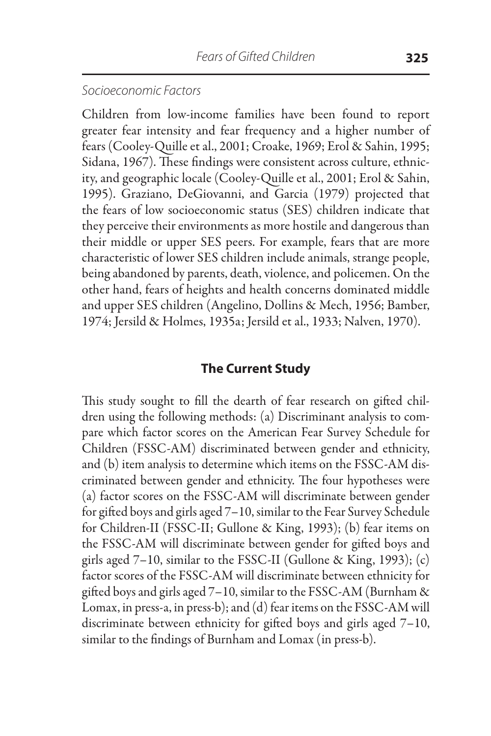## *Socioeconomic Factors*

Children from low-income families have been found to report greater fear intensity and fear frequency and a higher number of fears (Cooley-Quille et al., 2001; Croake, 1969; Erol & Sahin, 1995; Sidana, 1967). These findings were consistent across culture, ethnicity, and geographic locale (Cooley-Quille et al., 2001; Erol & Sahin, 1995). Graziano, DeGiovanni, and Garcia (1979) projected that the fears of low socioeconomic status (SES) children indicate that they perceive their environments as more hostile and dangerous than their middle or upper SES peers. For example, fears that are more characteristic of lower SES children include animals, strange people, being abandoned by parents, death, violence, and policemen. On the other hand, fears of heights and health concerns dominated middle and upper SES children (Angelino, Dollins & Mech, 1956; Bamber, 1974; Jersild & Holmes, 1935a; Jersild et al., 1933; Nalven, 1970).

## **The Current Study**

This study sought to fill the dearth of fear research on gifted children using the following methods: (a) Discriminant analysis to compare which factor scores on the American Fear Survey Schedule for Children (FSSC-AM) discriminated between gender and ethnicity, and (b) item analysis to determine which items on the FSSC-AM discriminated between gender and ethnicity. The four hypotheses were (a) factor scores on the FSSC-AM will discriminate between gender for gifted boys and girls aged 7–10, similar to the Fear Survey Schedule for Children-II (FSSC-II; Gullone & King, 1993); (b) fear items on the FSSC-AM will discriminate between gender for gifted boys and girls aged  $7-10$ , similar to the FSSC-II (Gullone & King, 1993); (c) factor scores of the FSSC-AM will discriminate between ethnicity for gifted boys and girls aged 7–10, similar to the FSSC-AM (Burnham & Lomax, in press-a, in press-b); and (d) fear items on the FSSC-AM will discriminate between ethnicity for gifted boys and girls aged 7–10, similar to the findings of Burnham and Lomax (in press-b).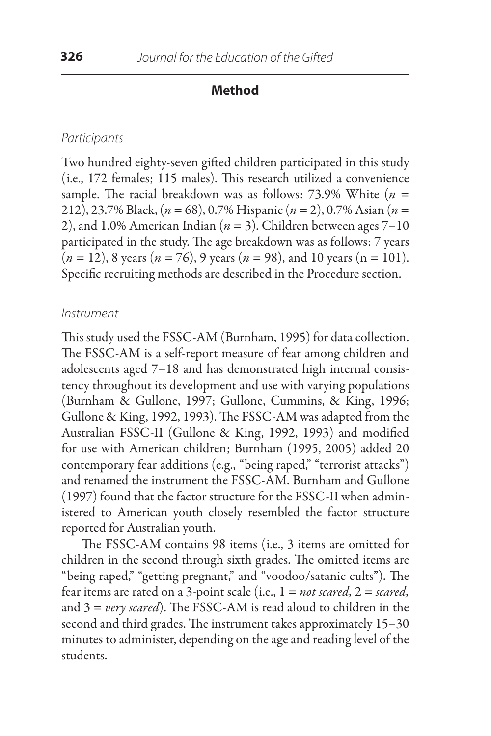## **Method**

## *Participants*

Two hundred eighty-seven gifted children participated in this study (i.e., 172 females; 115 males). This research utilized a convenience sample. The racial breakdown was as follows: 73.9% White (*n* = 212), 23.7% Black, (*n* = 68), 0.7% Hispanic (*n* = 2), 0.7% Asian (*n* = 2), and 1.0% American Indian  $(n = 3)$ . Children between ages  $7-10$ participated in the study. The age breakdown was as follows: 7 years (*n* = 12), 8 years (*n* = 76), 9 years (*n* = 98), and 10 years (n = 101). Specific recruiting methods are described in the Procedure section.

## *Instrument*

This study used the FSSC-AM (Burnham, 1995) for data collection. The FSSC-AM is a self-report measure of fear among children and adolescents aged 7–18 and has demonstrated high internal consistency throughout its development and use with varying populations (Burnham & Gullone, 1997; Gullone, Cummins, & King, 1996; Gullone & King, 1992, 1993). The FSSC-AM was adapted from the Australian FSSC-II (Gullone & King, 1992, 1993) and modified for use with American children; Burnham (1995, 2005) added 20 contemporary fear additions (e.g., "being raped," "terrorist attacks") and renamed the instrument the FSSC-AM. Burnham and Gullone (1997) found that the factor structure for the FSSC-II when administered to American youth closely resembled the factor structure reported for Australian youth.

The FSSC-AM contains 98 items (i.e., 3 items are omitted for children in the second through sixth grades. The omitted items are "being raped," "getting pregnant," and "voodoo/satanic cults"). The fear items are rated on a 3-point scale (i.e., 1 *= not scared,* 2 = *scared,* and 3 = *very scared*). The FSSC-AM is read aloud to children in the second and third grades. The instrument takes approximately 15–30 minutes to administer, depending on the age and reading level of the students.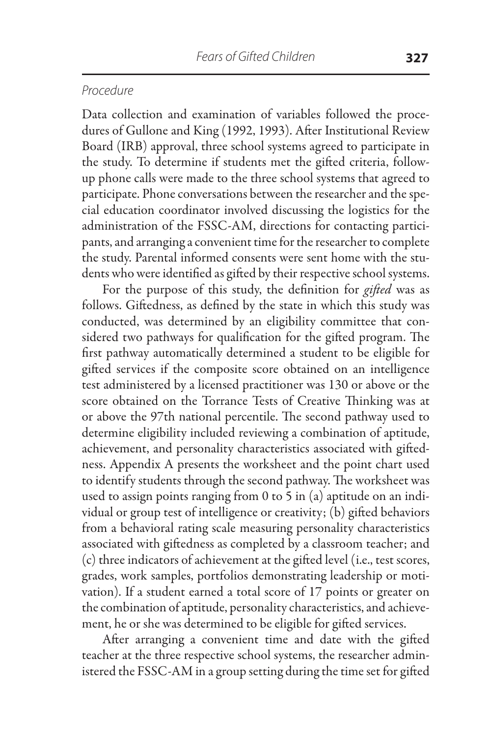## *Procedure*

Data collection and examination of variables followed the procedures of Gullone and King (1992, 1993). After Institutional Review Board (IRB) approval, three school systems agreed to participate in the study. To determine if students met the gifted criteria, followup phone calls were made to the three school systems that agreed to participate. Phone conversations between the researcher and the special education coordinator involved discussing the logistics for the administration of the FSSC-AM, directions for contacting participants, and arranging a convenient time for the researcher to complete the study. Parental informed consents were sent home with the students who were identified as gifted by their respective school systems.

For the purpose of this study, the definition for *gifted* was as follows. Giftedness, as defined by the state in which this study was conducted, was determined by an eligibility committee that considered two pathways for qualification for the gifted program. The first pathway automatically determined a student to be eligible for gifted services if the composite score obtained on an intelligence test administered by a licensed practitioner was 130 or above or the score obtained on the Torrance Tests of Creative Thinking was at or above the 97th national percentile. The second pathway used to determine eligibility included reviewing a combination of aptitude, achievement, and personality characteristics associated with giftedness. Appendix A presents the worksheet and the point chart used to identify students through the second pathway. The worksheet was used to assign points ranging from 0 to 5 in (a) aptitude on an individual or group test of intelligence or creativity; (b) gifted behaviors from a behavioral rating scale measuring personality characteristics associated with giftedness as completed by a classroom teacher; and (c) three indicators of achievement at the gifted level (i.e., test scores, grades, work samples, portfolios demonstrating leadership or motivation). If a student earned a total score of 17 points or greater on the combination of aptitude, personality characteristics, and achievement, he or she was determined to be eligible for gifted services.

After arranging a convenient time and date with the gifted teacher at the three respective school systems, the researcher administered the FSSC-AM in a group setting during the time set for gifted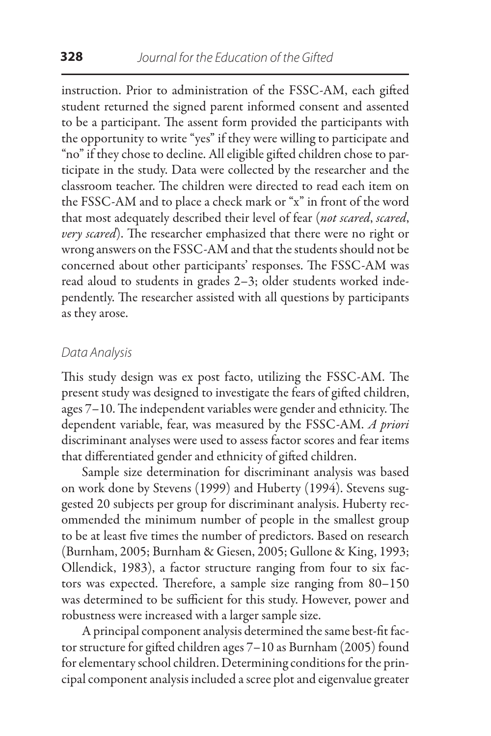instruction. Prior to administration of the FSSC-AM, each gifted student returned the signed parent informed consent and assented to be a participant. The assent form provided the participants with the opportunity to write "yes" if they were willing to participate and "no" if they chose to decline. All eligible gifted children chose to participate in the study. Data were collected by the researcher and the classroom teacher. The children were directed to read each item on the FSSC-AM and to place a check mark or "x" in front of the word that most adequately described their level of fear (*not scared*, *scared*, *very scared*). The researcher emphasized that there were no right or wrong answers on the FSSC-AM and that the students should not be concerned about other participants' responses. The FSSC-AM was read aloud to students in grades 2–3; older students worked independently. The researcher assisted with all questions by participants as they arose.

## *Data Analysis*

This study design was ex post facto, utilizing the FSSC-AM. The present study was designed to investigate the fears of gifted children, ages 7–10. The independent variables were gender and ethnicity. The dependent variable, fear, was measured by the FSSC-AM. *A priori* discriminant analyses were used to assess factor scores and fear items that differentiated gender and ethnicity of gifted children.

Sample size determination for discriminant analysis was based on work done by Stevens (1999) and Huberty (1994). Stevens suggested 20 subjects per group for discriminant analysis. Huberty recommended the minimum number of people in the smallest group to be at least five times the number of predictors. Based on research (Burnham, 2005; Burnham & Giesen, 2005; Gullone & King, 1993; Ollendick, 1983), a factor structure ranging from four to six factors was expected. Therefore, a sample size ranging from 80–150 was determined to be sufficient for this study. However, power and robustness were increased with a larger sample size.

A principal component analysis determined the same best-fit factor structure for gifted children ages 7–10 as Burnham (2005) found for elementary school children. Determining conditions for the principal component analysis included a scree plot and eigenvalue greater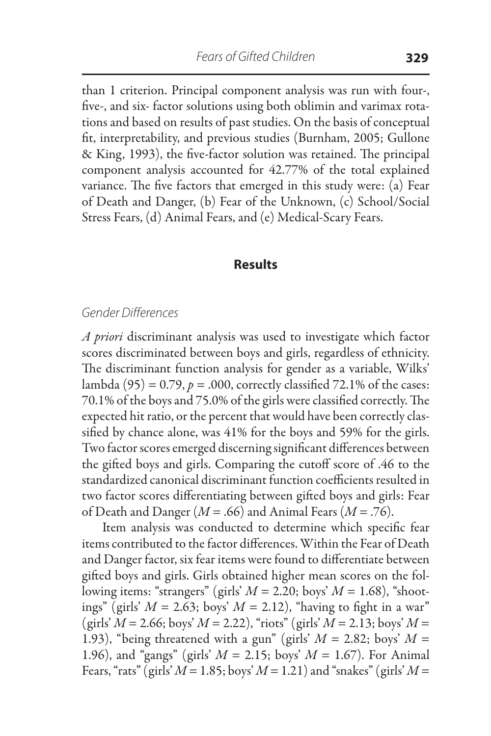than 1 criterion. Principal component analysis was run with four-, five-, and six- factor solutions using both oblimin and varimax rotations and based on results of past studies. On the basis of conceptual fit, interpretability, and previous studies (Burnham, 2005; Gullone & King, 1993), the five-factor solution was retained. The principal component analysis accounted for 42.77% of the total explained variance. The five factors that emerged in this study were: (a) Fear of Death and Danger, (b) Fear of the Unknown, (c) School/Social Stress Fears, (d) Animal Fears, and (e) Medical-Scary Fears.

#### **Results**

## *Gender Differences*

*A priori* discriminant analysis was used to investigate which factor scores discriminated between boys and girls, regardless of ethnicity. The discriminant function analysis for gender as a variable, Wilks' lambda  $(95) = 0.79$ ,  $p = .000$ , correctly classified 72.1% of the cases: 70.1% of the boys and 75.0% of the girls were classified correctly. The expected hit ratio, or the percent that would have been correctly classified by chance alone, was 41% for the boys and 59% for the girls. Two factor scores emerged discerning significant differences between the gifted boys and girls. Comparing the cutoff score of .46 to the standardized canonical discriminant function coefficients resulted in two factor scores differentiating between gifted boys and girls: Fear of Death and Danger (*M* = .66) and Animal Fears (*M* = .76).

Item analysis was conducted to determine which specific fear items contributed to the factor differences. Within the Fear of Death and Danger factor, six fear items were found to differentiate between gifted boys and girls. Girls obtained higher mean scores on the following items: "strangers" (girls' *M* = 2.20; boys' *M* = 1.68), "shootings" (girls'  $M = 2.63$ ; boys'  $M = 2.12$ ), "having to fight in a war"  $(girls' M = 2.66; boys' M = 2.22), "riots" (girls' M = 2.13; boys' M =$ 1.93), "being threatened with a gun" (girls'  $M = 2.82$ ; boys'  $M =$ 1.96), and "gangs" (girls' *M* = 2.15; boys' *M* = 1.67). For Animal Fears, "rats" (girls'  $M = 1.85$ ; boys'  $M = 1.21$ ) and "snakes" (girls'  $M =$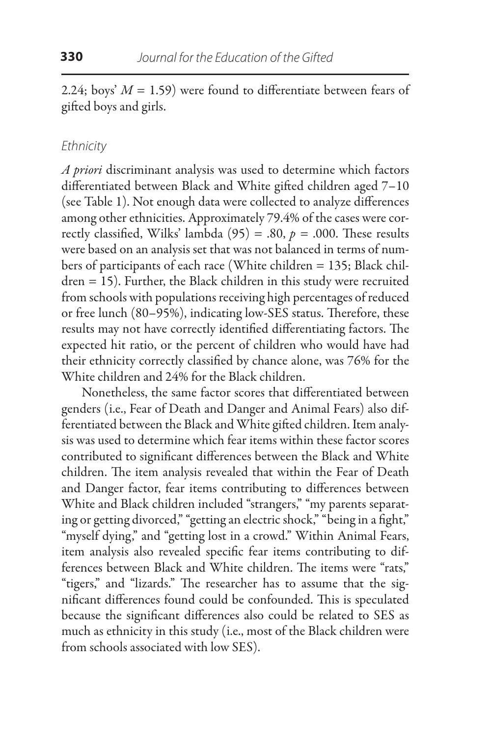2.24; boys'  $M = 1.59$ ) were found to differentiate between fears of gifted boys and girls.

## *Ethnicity*

*A priori* discriminant analysis was used to determine which factors differentiated between Black and White gifted children aged 7–10 (see Table 1). Not enough data were collected to analyze differences among other ethnicities. Approximately 79.4% of the cases were correctly classified, Wilks' lambda  $(95) = .80$ ,  $p = .000$ . These results were based on an analysis set that was not balanced in terms of numbers of participants of each race (White children = 135; Black children = 15). Further, the Black children in this study were recruited from schools with populations receiving high percentages of reduced or free lunch (80–95%), indicating low-SES status. Therefore, these results may not have correctly identified differentiating factors. The expected hit ratio, or the percent of children who would have had their ethnicity correctly classified by chance alone, was 76% for the White children and 24% for the Black children.

Nonetheless, the same factor scores that differentiated between genders (i.e., Fear of Death and Danger and Animal Fears) also differentiated between the Black and White gifted children. Item analysis was used to determine which fear items within these factor scores contributed to significant differences between the Black and White children. The item analysis revealed that within the Fear of Death and Danger factor, fear items contributing to differences between White and Black children included "strangers," "my parents separating or getting divorced," "getting an electric shock," "being in a fight," "myself dying," and "getting lost in a crowd." Within Animal Fears, item analysis also revealed specific fear items contributing to differences between Black and White children. The items were "rats," "tigers," and "lizards." The researcher has to assume that the significant differences found could be confounded. This is speculated because the significant differences also could be related to SES as much as ethnicity in this study (i.e., most of the Black children were from schools associated with low SES).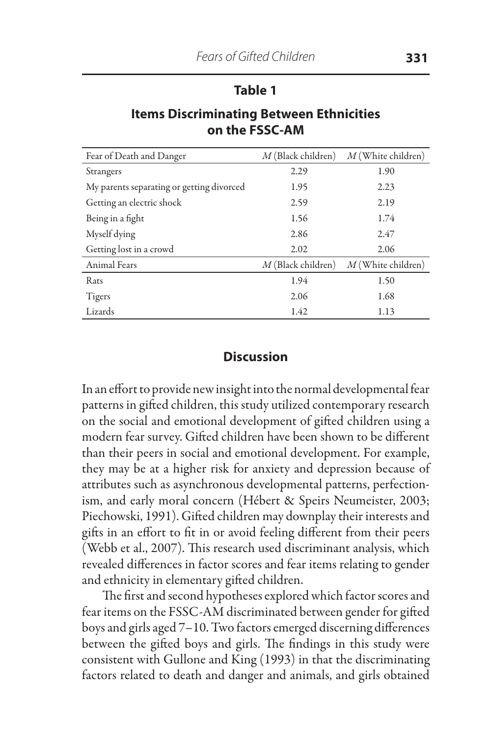### **Table 1**

## **Items Discriminating Between Ethnicities on the FSSC-AM**

| Fear of Death and Danger                  | $M$ (Black children) | $M$ (White children) |
|-------------------------------------------|----------------------|----------------------|
| Strangers                                 | 2.29                 | 1.90                 |
| My parents separating or getting divorced | 1.95                 | 2.23                 |
| Getting an electric shock                 | 2.59                 | 2.19                 |
| Being in a fight                          | 1.56                 | 1.74                 |
| Myself dying                              | 2.86                 | 2.47                 |
| Getting lost in a crowd                   | 2.02                 | 2.06                 |
| Animal Fears                              | $M$ (Black children) | $M$ (White children) |
| Rats                                      | 1.94                 | 1.50                 |
| Tigers                                    | 2.06                 | 1.68                 |
| Lizards                                   | 1.42                 | 1.13                 |

## **Discussion**

In an effort to provide new insight into the normal developmental fear patterns in gifted children, this study utilized contemporary research on the social and emotional development of gifted children using a modern fear survey. Gifted children have been shown to be different than their peers in social and emotional development. For example, they may be at a higher risk for anxiety and depression because of attributes such as asynchronous developmental patterns, perfectionism, and early moral concern (Hébert & Speirs Neumeister, 2003; Piechowski, 1991). Gifted children may downplay their interests and gifts in an effort to fit in or avoid feeling different from their peers (Webb et al., 2007). This research used discriminant analysis, which revealed differences in factor scores and fear items relating to gender and ethnicity in elementary gifted children.

The first and second hypotheses explored which factor scores and fear items on the FSSC-AM discriminated between gender for gifted boys and girls aged 7–10. Two factors emerged discerning differences between the gifted boys and girls. The findings in this study were consistent with Gullone and King (1993) in that the discriminating factors related to death and danger and animals, and girls obtained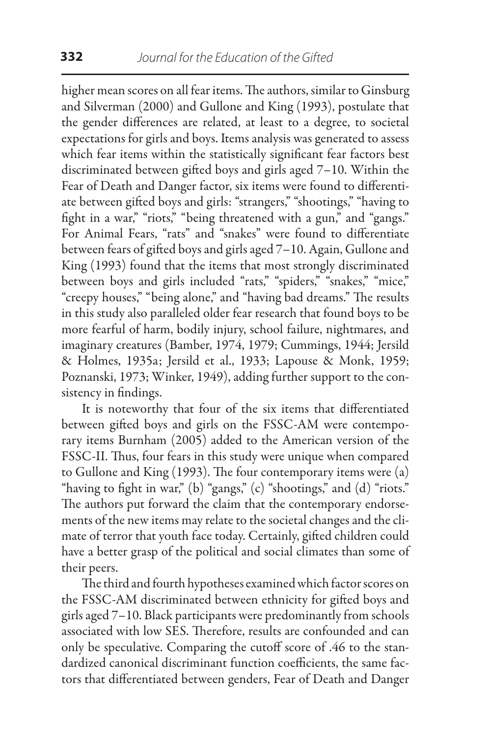higher mean scores on all fear items. The authors, similar to Ginsburg and Silverman (2000) and Gullone and King (1993), postulate that the gender differences are related, at least to a degree, to societal expectations for girls and boys. Items analysis was generated to assess which fear items within the statistically significant fear factors best discriminated between gifted boys and girls aged 7–10. Within the Fear of Death and Danger factor, six items were found to differentiate between gifted boys and girls: "strangers," "shootings," "having to fight in a war," "riots," "being threatened with a gun," and "gangs." For Animal Fears, "rats" and "snakes" were found to differentiate between fears of gifted boys and girls aged 7–10. Again, Gullone and King (1993) found that the items that most strongly discriminated between boys and girls included "rats," "spiders," "snakes," "mice," "creepy houses," "being alone," and "having bad dreams." The results in this study also paralleled older fear research that found boys to be more fearful of harm, bodily injury, school failure, nightmares, and imaginary creatures (Bamber, 1974, 1979; Cummings, 1944; Jersild & Holmes, 1935a; Jersild et al., 1933; Lapouse & Monk, 1959; Poznanski, 1973; Winker, 1949), adding further support to the consistency in findings.

It is noteworthy that four of the six items that differentiated between gifted boys and girls on the FSSC-AM were contemporary items Burnham (2005) added to the American version of the FSSC-II. Thus, four fears in this study were unique when compared to Gullone and King (1993). The four contemporary items were (a) "having to fight in war," (b) "gangs," (c) "shootings," and (d) "riots." The authors put forward the claim that the contemporary endorsements of the new items may relate to the societal changes and the climate of terror that youth face today. Certainly, gifted children could have a better grasp of the political and social climates than some of their peers.

The third and fourth hypotheses examined which factor scores on the FSSC-AM discriminated between ethnicity for gifted boys and girls aged 7–10. Black participants were predominantly from schools associated with low SES. Therefore, results are confounded and can only be speculative. Comparing the cutoff score of .46 to the standardized canonical discriminant function coefficients, the same factors that differentiated between genders, Fear of Death and Danger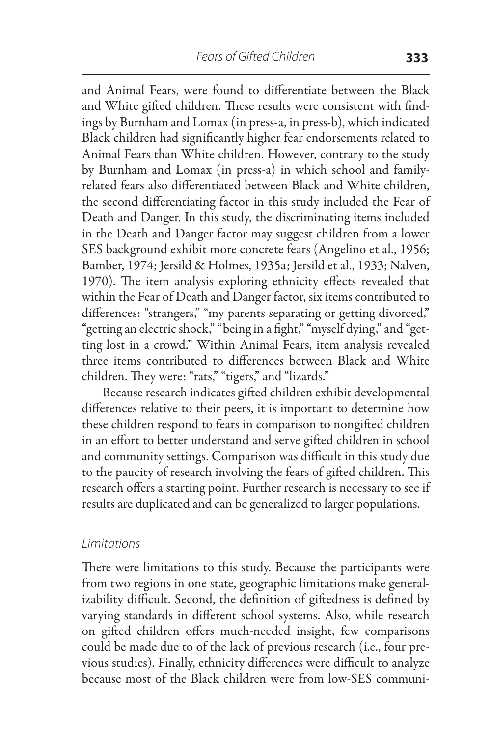and Animal Fears, were found to differentiate between the Black and White gifted children. These results were consistent with findings by Burnham and Lomax (in press-a, in press-b), which indicated Black children had significantly higher fear endorsements related to Animal Fears than White children. However, contrary to the study by Burnham and Lomax (in press-a) in which school and familyrelated fears also differentiated between Black and White children, the second differentiating factor in this study included the Fear of Death and Danger. In this study, the discriminating items included in the Death and Danger factor may suggest children from a lower SES background exhibit more concrete fears (Angelino et al., 1956; Bamber, 1974; Jersild & Holmes, 1935a; Jersild et al., 1933; Nalven, 1970). The item analysis exploring ethnicity effects revealed that within the Fear of Death and Danger factor, six items contributed to differences: "strangers," "my parents separating or getting divorced," "getting an electric shock," "being in a fight," "myself dying," and "getting lost in a crowd." Within Animal Fears, item analysis revealed three items contributed to differences between Black and White children. They were: "rats," "tigers," and "lizards."

Because research indicates gifted children exhibit developmental differences relative to their peers, it is important to determine how these children respond to fears in comparison to nongifted children in an effort to better understand and serve gifted children in school and community settings. Comparison was difficult in this study due to the paucity of research involving the fears of gifted children. This research offers a starting point. Further research is necessary to see if results are duplicated and can be generalized to larger populations.

### *Limitations*

There were limitations to this study. Because the participants were from two regions in one state, geographic limitations make generalizability difficult. Second, the definition of giftedness is defined by varying standards in different school systems. Also, while research on gifted children offers much-needed insight, few comparisons could be made due to of the lack of previous research (i.e., four previous studies). Finally, ethnicity differences were difficult to analyze because most of the Black children were from low-SES communi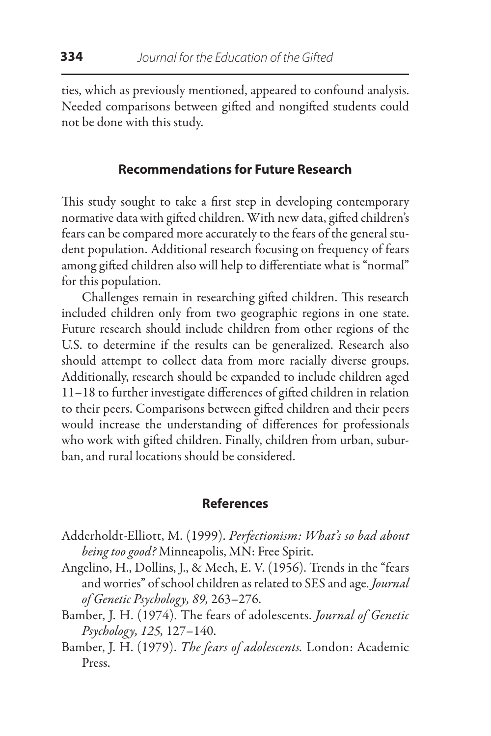ties, which as previously mentioned, appeared to confound analysis. Needed comparisons between gifted and nongifted students could not be done with this study.

## **Recommendations for Future Research**

This study sought to take a first step in developing contemporary normative data with gifted children. With new data, gifted children's fears can be compared more accurately to the fears of the general student population. Additional research focusing on frequency of fears among gifted children also will help to differentiate what is "normal" for this population.

Challenges remain in researching gifted children. This research included children only from two geographic regions in one state. Future research should include children from other regions of the U.S. to determine if the results can be generalized. Research also should attempt to collect data from more racially diverse groups. Additionally, research should be expanded to include children aged 11–18 to further investigate differences of gifted children in relation to their peers. Comparisons between gifted children and their peers would increase the understanding of differences for professionals who work with gifted children. Finally, children from urban, suburban, and rural locations should be considered.

#### **References**

- Adderholdt-Elliott, M. (1999). *Perfectionism: What's so bad about being too good?* Minneapolis, MN: Free Spirit.
- Angelino, H., Dollins, J., & Mech, E. V. (1956). Trends in the "fears and worries" of school children as related to SES and age. *Journal of Genetic Psychology, 89,* 263–276.
- Bamber, J. H. (1974). The fears of adolescents. *Journal of Genetic Psychology, 125,* 127–140.
- Bamber, J. H. (1979). *The fears of adolescents.* London: Academic Press.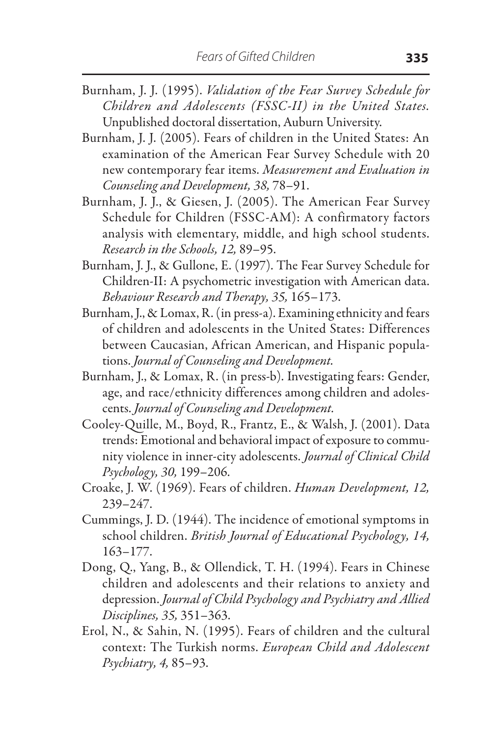- Burnham, J. J. (1995). *Validation of the Fear Survey Schedule for Children and Adolescents (FSSC-II) in the United States.* Unpublished doctoral dissertation, Auburn University.
- Burnham, J. J. (2005). Fears of children in the United States: An examination of the American Fear Survey Schedule with 20 new contemporary fear items. *Measurement and Evaluation in Counseling and Development, 38,* 78–91.
- Burnham, J. J., & Giesen, J. (2005). The American Fear Survey Schedule for Children (FSSC-AM): A confirmatory factors analysis with elementary, middle, and high school students. *Research in the Schools, 12,* 89–95.
- Burnham, J. J., & Gullone, E. (1997). The Fear Survey Schedule for Children-II: A psychometric investigation with American data. *Behaviour Research and Therapy, 35,* 165–173.
- Burnham, J., & Lomax, R. (in press-a). Examining ethnicity and fears of children and adolescents in the United States: Differences between Caucasian, African American, and Hispanic populations. *Journal of Counseling and Development.*
- Burnham, J., & Lomax, R. (in press-b). Investigating fears: Gender, age, and race/ethnicity differences among children and adolescents. *Journal of Counseling and Development.*
- Cooley-Quille, M., Boyd, R., Frantz, E., & Walsh, J. (2001). Data trends: Emotional and behavioral impact of exposure to community violence in inner-city adolescents. *Journal of Clinical Child Psychology, 30,* 199–206.
- Croake, J. W. (1969). Fears of children. *Human Development, 12,* 239–247.
- Cummings, J. D. (1944). The incidence of emotional symptoms in school children. *British Journal of Educational Psychology, 14,*  163–177.
- Dong, Q., Yang, B., & Ollendick, T. H. (1994). Fears in Chinese children and adolescents and their relations to anxiety and depression. *Journal of Child Psychology and Psychiatry and Allied Disciplines, 35,* 351–363.
- Erol, N., & Sahin, N. (1995). Fears of children and the cultural context: The Turkish norms. *European Child and Adolescent Psychiatry, 4,* 85–93.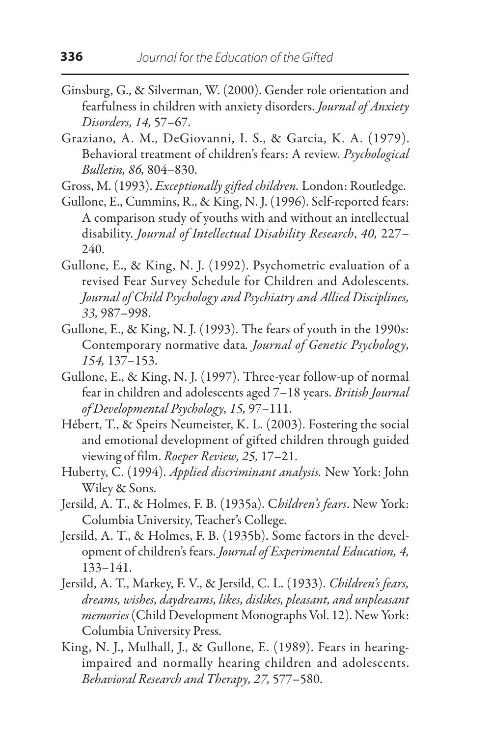- Ginsburg, G., & Silverman, W. (2000). Gender role orientation and fearfulness in children with anxiety disorders. *Journal of Anxiety Disorders, 14,* 57–67.
- Graziano, A. M., DeGiovanni, I. S., & Garcia, K. A. (1979). Behavioral treatment of children's fears: A review. *Psychological Bulletin, 86,* 804–830.

Gross, M. (1993). *Exceptionally gifted children.* London: Routledge.

- Gullone, E., Cummins, R., & King, N. J. (1996). Self-reported fears: A comparison study of youths with and without an intellectual disability. *Journal of Intellectual Disability Research*, *40,* 227– 240.
- Gullone, E., & King, N. J. (1992). Psychometric evaluation of a revised Fear Survey Schedule for Children and Adolescents. *Journal of Child Psychology and Psychiatry and Allied Disciplines, 33,* 987–998.
- Gullone, E., & King, N. J. (1993). The fears of youth in the 1990s: Contemporary normative data*. Journal of Genetic Psychology, 154,* 137–153.
- Gullone, E., & King, N. J. (1997). Three-year follow-up of normal fear in children and adolescents aged 7–18 years. *British Journal of Developmental Psychology, 15,* 97–111.
- Hébert, T., & Speirs Neumeister, K. L. (2003). Fostering the social and emotional development of gifted children through guided viewing of film. *Roeper Review, 25,* 17–21.
- Huberty, C. (1994). *Applied discriminant analysis.* New York: John Wiley & Sons.
- Jersild, A. T., & Holmes, F. B. (1935a). C*hildren's fears*. New York: Columbia University, Teacher's College.
- Jersild, A. T., & Holmes, F. B. (1935b). Some factors in the development of children's fears. *Journal of Experimental Education, 4,* 133–141.
- Jersild, A. T., Markey, F. V., & Jersild, C. L. (1933). *Children's fears, dreams, wishes, daydreams, likes, dislikes, pleasant, and unpleasant memories* (Child Development Monographs Vol. 12). New York: Columbia University Press.
- King, N. J., Mulhall, J., & Gullone, E. (1989). Fears in hearingimpaired and normally hearing children and adolescents. *Behavioral Research and Therapy, 27,* 577–580.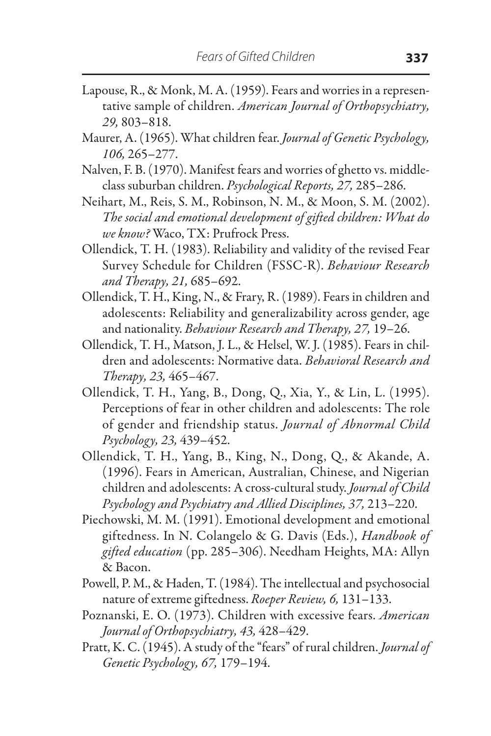- Lapouse, R., & Monk, M. A. (1959). Fears and worries in a representative sample of children. *American Journal of Orthopsychiatry, 29,* 803–818.
- Maurer, A. (1965). What children fear. *Journal of Genetic Psychology, 106,* 265–277.
- Nalven, F. B. (1970). Manifest fears and worries of ghetto vs. middleclass suburban children. *Psychological Reports, 27,* 285–286.
- Neihart, M., Reis, S. M., Robinson, N. M., & Moon, S. M. (2002). *The social and emotional development of gifted children: What do we know?* Waco, TX: Prufrock Press.
- Ollendick, T. H. (1983). Reliability and validity of the revised Fear Survey Schedule for Children (FSSC-R). *Behaviour Research and Therapy, 21,* 685–692.
- Ollendick, T. H., King, N., & Frary, R. (1989). Fears in children and adolescents: Reliability and generalizability across gender, age and nationality. *Behaviour Research and Therapy, 27,* 19–26.
- Ollendick, T. H., Matson, J. L., & Helsel, W. J. (1985). Fears in children and adolescents: Normative data. *Behavioral Research and Therapy, 23,* 465–467.
- Ollendick, T. H., Yang, B., Dong, Q., Xia, Y., & Lin, L. (1995). Perceptions of fear in other children and adolescents: The role of gender and friendship status. *Journal of Abnormal Child Psychology, 23,* 439–452.
- Ollendick, T. H., Yang, B., King, N., Dong, Q., & Akande, A. (1996). Fears in American, Australian, Chinese, and Nigerian children and adolescents: A cross-cultural study. *Journal of Child Psychology and Psychiatry and Allied Disciplines, 37,* 213–220.
- Piechowski, M. M. (1991). Emotional development and emotional giftedness. In N. Colangelo & G. Davis (Eds.), *Handbook of gifted education* (pp. 285–306). Needham Heights, MA: Allyn & Bacon.
- Powell, P. M., & Haden, T. (1984). The intellectual and psychosocial nature of extreme giftedness. *Roeper Review, 6,* 131–133.
- Poznanski, E. O. (1973). Children with excessive fears. *American Journal of Orthopsychiatry, 43,* 428–429.
- Pratt, K. C. (1945). A study of the "fears" of rural children. *Journal of Genetic Psychology, 67,* 179–194.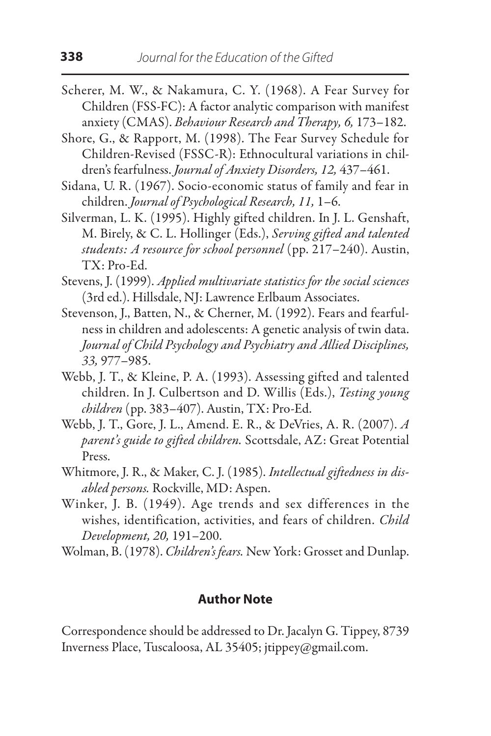- Scherer, M. W., & Nakamura, C. Y. (1968). A Fear Survey for Children (FSS-FC): A factor analytic comparison with manifest anxiety (CMAS). *Behaviour Research and Therapy, 6,* 173–182.
- Shore, G., & Rapport, M. (1998). The Fear Survey Schedule for Children-Revised (FSSC-R): Ethnocultural variations in children's fearfulness. *Journal of Anxiety Disorders, 12,* 437–461.
- Sidana, U. R. (1967). Socio-economic status of family and fear in children. *Journal of Psychological Research, 11,* 1–6.
- Silverman, L. K. (1995). Highly gifted children. In J. L. Genshaft, M. Birely, & C. L. Hollinger (Eds.), *Serving gifted and talented students: A resource for school personnel* (pp. 217–240). Austin, TX: Pro-Ed.
- Stevens, J. (1999). *Applied multivariate statistics for the social sciences* (3rd ed.). Hillsdale, NJ: Lawrence Erlbaum Associates.
- Stevenson, J., Batten, N., & Cherner, M. (1992). Fears and fearfulness in children and adolescents: A genetic analysis of twin data. *Journal of Child Psychology and Psychiatry and Allied Disciplines, 33,* 977–985.
- Webb, J. T., & Kleine, P. A. (1993). Assessing gifted and talented children. In J. Culbertson and D. Willis (Eds.), *Testing young children* (pp. 383–407). Austin, TX: Pro-Ed.
- Webb, J. T., Gore, J. L., Amend. E. R., & DeVries, A. R. (2007). *A parent's guide to gifted children.* Scottsdale, AZ: Great Potential Press.
- Whitmore, J. R., & Maker, C. J. (1985). *Intellectual giftedness in disabled persons.* Rockville, MD: Aspen.
- Winker, J. B. (1949). Age trends and sex differences in the wishes, identification, activities, and fears of children. *Child Development, 20,* 191–200.
- Wolman, B. (1978). *Children's fears.* New York: Grosset and Dunlap.

## **Author Note**

Correspondence should be addressed to Dr. Jacalyn G. Tippey, 8739 Inverness Place, Tuscaloosa, AL 35405; jtippey@gmail.com.